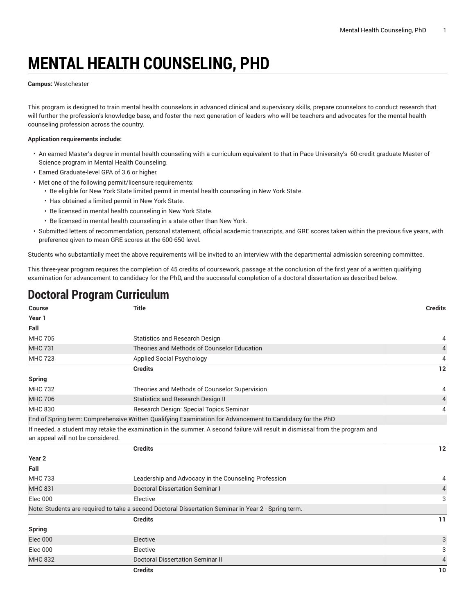# **MENTAL HEALTH COUNSELING, PHD**

#### **Campus:** Westchester

This program is designed to train mental health counselors in advanced clinical and supervisory skills, prepare counselors to conduct research that will further the profession's knowledge base, and foster the next generation of leaders who will be teachers and advocates for the mental health counseling profession across the country.

### **Application requirements include:**

- An earned Master's degree in mental health counseling with a curriculum equivalent to that in Pace University's 60-credit graduate Master of Science program in Mental Health Counseling.
- Earned Graduate-level GPA of 3.6 or higher.
- Met one of the following permit/licensure requirements:
	- Be eligible for New York State limited permit in mental health counseling in New York State.
	- Has obtained a limited permit in New York State.
	- Be licensed in mental health counseling in New York State.
	- Be licensed in mental health counseling in a state other than New York.
- Submitted letters of recommendation, personal statement, official academic transcripts, and GRE scores taken within the previous five years, with preference given to mean GRE scores at the 600-650 level.

Students who substantially meet the above requirements will be invited to an interview with the departmental admission screening committee.

This three-year program requires the completion of 45 credits of coursework, passage at the conclusion of the first year of a written qualifying examination for advancement to candidacy for the PhD, and the successful completion of a doctoral dissertation as described below.

# **Doctoral Program Curriculum**

| Course                            | <b>Title</b>                                                                                                                  | <b>Credits</b> |
|-----------------------------------|-------------------------------------------------------------------------------------------------------------------------------|----------------|
| Year 1                            |                                                                                                                               |                |
| Fall                              |                                                                                                                               |                |
| <b>MHC 705</b>                    | <b>Statistics and Research Design</b>                                                                                         | 4              |
| <b>MHC 731</b>                    | Theories and Methods of Counselor Education                                                                                   | $\overline{4}$ |
| <b>MHC 723</b>                    | <b>Applied Social Psychology</b>                                                                                              | 4              |
|                                   | <b>Credits</b>                                                                                                                | 12             |
| Spring                            |                                                                                                                               |                |
| <b>MHC 732</b>                    | Theories and Methods of Counselor Supervision                                                                                 | 4              |
| <b>MHC 706</b>                    | Statistics and Research Design II                                                                                             | 4              |
| <b>MHC 830</b>                    | Research Design: Special Topics Seminar                                                                                       | 4              |
|                                   | End of Spring term: Comprehensive Written Qualifying Examination for Advancement to Candidacy for the PhD                     |                |
| an appeal will not be considered. | If needed, a student may retake the examination in the summer. A second failure will result in dismissal from the program and |                |
|                                   | <b>Credits</b>                                                                                                                | $12$           |
| Year <sub>2</sub>                 |                                                                                                                               |                |
| Fall                              |                                                                                                                               |                |
| <b>MHC 733</b>                    | Leadership and Advocacy in the Counseling Profession                                                                          | 4              |
| <b>MHC 831</b>                    | Doctoral Dissertation Seminar I                                                                                               | 4              |
| <b>Elec 000</b>                   | Elective                                                                                                                      | 3              |
|                                   | Note: Students are required to take a second Doctoral Dissertation Seminar in Year 2 - Spring term.                           |                |
|                                   | <b>Credits</b>                                                                                                                | 11             |
| <b>Spring</b>                     |                                                                                                                               |                |
| Elec 000                          | Elective                                                                                                                      | 3              |
| Elec 000                          | Elective                                                                                                                      | 3              |
| <b>MHC 832</b>                    | <b>Doctoral Dissertation Seminar II</b>                                                                                       | 4              |
|                                   | <b>Credits</b>                                                                                                                | 10             |